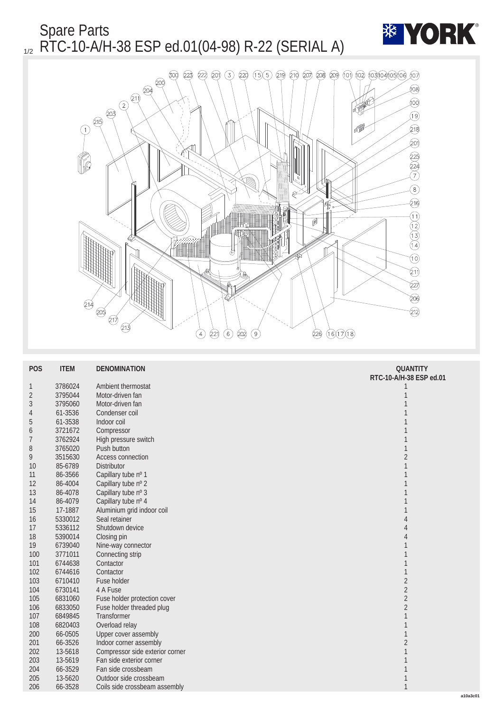Spare Parts  $_{1/2}$  RTC-10-A/H-38 ESP ed.01(04-98) R-22 (SERIAL A)





| <b>POS</b>       | <b>ITEM</b> | <b>DENOMINATION</b>             | <b>QUANTITY</b><br>RTC-10-A/H-38 ESP ed.01 |
|------------------|-------------|---------------------------------|--------------------------------------------|
| 1                | 3786024     | <b>Ambient thermostat</b>       | 1                                          |
| $\boldsymbol{2}$ | 3795044     | Motor-driven fan                | 1                                          |
| 3                | 3795060     | Motor-driven fan                |                                            |
| 4                | 61-3536     | Condenser coil                  |                                            |
| $\overline{5}$   | 61-3538     | Indoor coil                     |                                            |
| 6                | 3721672     | Compressor                      |                                            |
| $\overline{7}$   | 3762924     | High pressure switch            |                                            |
| 8                | 3765020     | <b>Push button</b>              | 1                                          |
| $9\phantom{.0}$  | 3515630     | Access connection               | $\sqrt{2}$                                 |
| 10               | 85-6789     | Distributor                     | 1                                          |
| 11               | 86-3566     | Capillary tube nº 1             | 1                                          |
| 12               | 86-4004     | Capillary tube nº 2             |                                            |
| 13               | 86-4078     | Capillary tube nº 3             |                                            |
| 14               | 86-4079     | Capillary tube nº 4             |                                            |
| 15               | 17-1887     | Aluminium grid indoor coil      |                                            |
| 16               | 5330012     | Seal retainer                   | 4                                          |
| 17               | 5336112     | Shutdown device                 | 4                                          |
| 18               | 5390014     | Closing pin                     | 4                                          |
| 19               | 6739040     | Nine-way connector              |                                            |
| 100              | 3771011     | Connecting strip                |                                            |
| 101              | 6744638     | Contactor                       |                                            |
| 102              | 6744616     | Contactor                       |                                            |
| 103              | 6710410     | <b>Fuse holder</b>              | $\boldsymbol{2}$                           |
| 104              | 6730141     | 4 A Fuse                        | $\sqrt{2}$                                 |
| 105              | 6831060     | Fuse holder protection cover    | $\sqrt{2}$                                 |
| 106              | 6833050     | Fuse holder threaded plug       | $\boldsymbol{2}$                           |
| 107              | 6849845     | Transformer                     |                                            |
| 108              | 6820403     | Overload relay                  |                                            |
| 200              | 66-0505     | <b>Upper cover assembly</b>     |                                            |
| 201              | 66-3526     | Indoor corner assembly          | $\boldsymbol{2}$                           |
| 202              | 13-5618     | Compressor side exterior corner | 1                                          |
| 203              | 13-5619     | Fan side exterior corner        | 1                                          |
| 204              | 66-3529     | Fan side crossbeam              | 1                                          |
| 205              | 13-5620     | Outdoor side crossbeam          |                                            |
| 206              | 66-3528     | Coils side crossbeam assembly   | $\mathbf{1}$                               |
|                  |             |                                 | a10a3c01                                   |